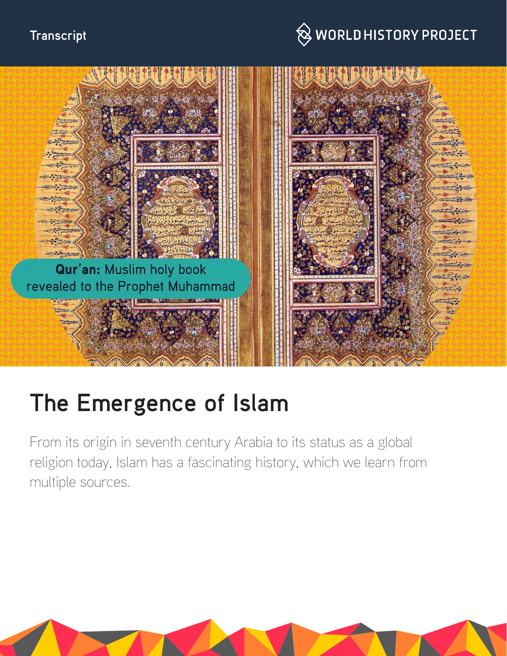# **Transcript**

# $\bigotimes$  WORLD HISTORY PROJECT



# **The Emergence of Islam**

From its origin in seventh century Arabia to its status as a global religion today, Islam has a fascinating history, which we learn from multiple sources.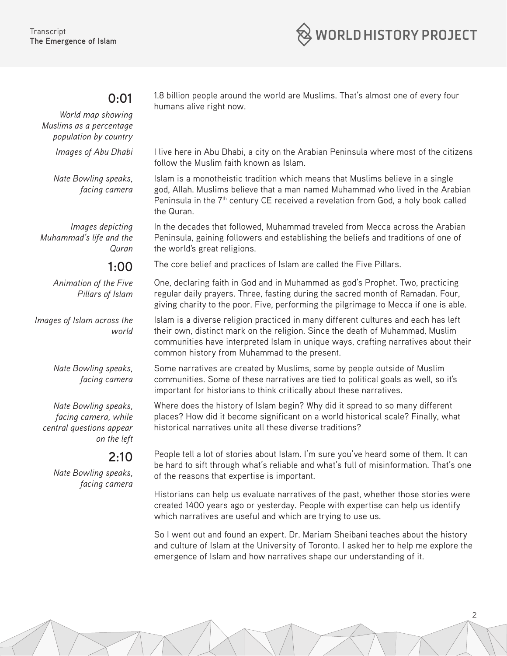

#### **0:01**

*World map showing Muslims as a percentage population by country* 

*Nate Bowling speaks, facing camera*

*Images depicting Muhammad's life and the Quran*

## **1:00**

*Animation of the Five Pillars of Islam*

*Images of Islam across the world*

> *Nate Bowling speaks, facing camera*

*Nate Bowling speaks, facing camera, while central questions appear on the left*

#### **2:10**

*Nate Bowling speaks, facing camera* 1.8 billion people around the world are Muslims. That's almost one of every four humans alive right now.

*Images of Abu Dhabi* I live here in Abu Dhabi, a city on the Arabian Peninsula where most of the citizens follow the Muslim faith known as Islam.

> Islam is a monotheistic tradition which means that Muslims believe in a single god, Allah. Muslims believe that a man named Muhammad who lived in the Arabian Peninsula in the 7<sup>th</sup> century CE received a revelation from God, a holy book called the Quran.

In the decades that followed, Muhammad traveled from Mecca across the Arabian Peninsula, gaining followers and establishing the beliefs and traditions of one of the world's great religions.

The core belief and practices of Islam are called the Five Pillars.

One, declaring faith in God and in Muhammad as god's Prophet. Two, practicing regular daily prayers. Three, fasting during the sacred month of Ramadan. Four, giving charity to the poor. Five, performing the pilgrimage to Mecca if one is able.

Islam is a diverse religion practiced in many different cultures and each has left their own, distinct mark on the religion. Since the death of Muhammad, Muslim communities have interpreted Islam in unique ways, crafting narratives about their common history from Muhammad to the present.

Some narratives are created by Muslims, some by people outside of Muslim communities. Some of these narratives are tied to political goals as well, so it's important for historians to think critically about these narratives.

Where does the history of Islam begin? Why did it spread to so many different places? How did it become significant on a world historical scale? Finally, what historical narratives unite all these diverse traditions?

People tell a lot of stories about Islam. I'm sure you've heard some of them. It can be hard to sift through what's reliable and what's full of misinformation. That's one of the reasons that expertise is important.

Historians can help us evaluate narratives of the past, whether those stories were created 1400 years ago or yesterday. People with expertise can help us identify which narratives are useful and which are trying to use us.

So I went out and found an expert. Dr. Mariam Sheibani teaches about the history and culture of Islam at the University of Toronto. I asked her to help me explore the emergence of Islam and how narratives shape our understanding of it.

2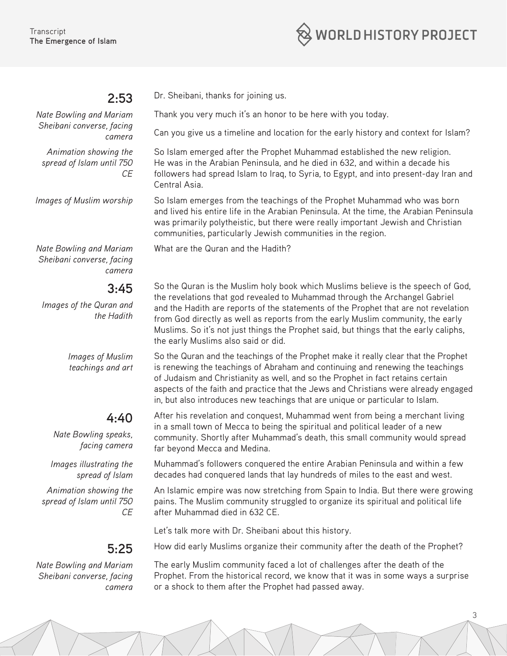

#### **2:53**

*Nate Bowling and Mariam Sheibani converse, facing camera*

*Animation showing the spread of Islam until 750 CE*

Dr. Sheibani, thanks for joining us.

What are the Quran and the Hadith?

Thank you very much it's an honor to be here with you today.

Can you give us a timeline and location for the early history and context for Islam?

So Islam emerged after the Prophet Muhammad established the new religion. He was in the Arabian Peninsula, and he died in 632, and within a decade his followers had spread Islam to Iraq, to Syria, to Egypt, and into present-day Iran and Central Asia.

*Images of Muslim worship* So Islam emerges from the teachings of the Prophet Muhammad who was born and lived his entire life in the Arabian Peninsula. At the time, the Arabian Peninsula was primarily polytheistic, but there were really important Jewish and Christian communities, particularly Jewish communities in the region.

*Nate Bowling and Mariam Sheibani converse, facing camera*

#### **3:45**

*Images of the Quran and the Hadith*

> *Images of Muslim teachings and art*

### **4:40**

*Nate Bowling speaks, facing camera*

*Images illustrating the spread of Islam*

*Animation showing the spread of Islam until 750 CE*

### **5:25**

*Nate Bowling and Mariam Sheibani converse, facing camera* So the Quran is the Muslim holy book which Muslims believe is the speech of God, the revelations that god revealed to Muhammad through the Archangel Gabriel and the Hadith are reports of the statements of the Prophet that are not revelation from God directly as well as reports from the early Muslim community, the early Muslims. So it's not just things the Prophet said, but things that the early caliphs, the early Muslims also said or did.

So the Quran and the teachings of the Prophet make it really clear that the Prophet is renewing the teachings of Abraham and continuing and renewing the teachings of Judaism and Christianity as well, and so the Prophet in fact retains certain aspects of the faith and practice that the Jews and Christians were already engaged in, but also introduces new teachings that are unique or particular to Islam.

After his revelation and conquest, Muhammad went from being a merchant living in a small town of Mecca to being the spiritual and political leader of a new community. Shortly after Muhammad's death, this small community would spread far beyond Mecca and Medina.

Muhammad's followers conquered the entire Arabian Peninsula and within a few decades had conquered lands that lay hundreds of miles to the east and west.

An Islamic empire was now stretching from Spain to India. But there were growing pains. The Muslim community struggled to organize its spiritual and political life after Muhammad died in 632 CE.

Let's talk more with Dr. Sheibani about this history.

How did early Muslims organize their community after the death of the Prophet?

The early Muslim community faced a lot of challenges after the death of the Prophet. From the historical record, we know that it was in some ways a surprise or a shock to them after the Prophet had passed away.

3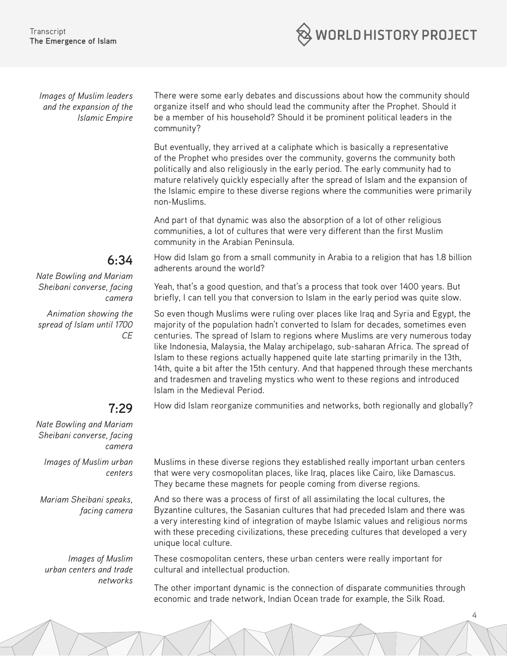

*Images of Muslim leaders and the expansion of the Islamic Empire* There were some early debates and discussions about how the community should organize itself and who should lead the community after the Prophet. Should it be a member of his household? Should it be prominent political leaders in the community?

But eventually, they arrived at a caliphate which is basically a representative of the Prophet who presides over the community, governs the community both politically and also religiously in the early period. The early community had to mature relatively quickly especially after the spread of Islam and the expansion of the Islamic empire to these diverse regions where the communities were primarily non-Muslims.

And part of that dynamic was also the absorption of a lot of other religious communities, a lot of cultures that were very different than the first Muslim community in the Arabian Peninsula.

How did Islam go from a small community in Arabia to a religion that has 1.8 billion adherents around the world?

Yeah, that's a good question, and that's a process that took over 1400 years. But briefly, I can tell you that conversion to Islam in the early period was quite slow.

So even though Muslims were ruling over places like Iraq and Syria and Egypt, the majority of the population hadn't converted to Islam for decades, sometimes even centuries. The spread of Islam to regions where Muslims are very numerous today like Indonesia, Malaysia, the Malay archipelago, sub-saharan Africa. The spread of Islam to these regions actually happened quite late starting primarily in the 13th, 14th, quite a bit after the 15th century. And that happened through these merchants and tradesmen and traveling mystics who went to these regions and introduced Islam in the Medieval Period.

How did Islam reorganize communities and networks, both regionally and globally?

**7:29** *Nate Bowling and Mariam Sheibani converse, facing* 

*camera Images of Muslim urban centers*

*Mariam Sheibani speaks, facing camera*

*Images of Muslim urban centers and trade networks* Muslims in these diverse regions they established really important urban centers that were very cosmopolitan places, like Iraq, places like Cairo, like Damascus. They became these magnets for people coming from diverse regions.

And so there was a process of first of all assimilating the local cultures, the Byzantine cultures, the Sasanian cultures that had preceded Islam and there was a very interesting kind of integration of maybe Islamic values and religious norms with these preceding civilizations, these preceding cultures that developed a very unique local culture.

These cosmopolitan centers, these urban centers were really important for cultural and intellectual production.

The other important dynamic is the connection of disparate communities through economic and trade network, Indian Ocean trade for example, the Silk Road.

4

# **6:34**

*Nate Bowling and Mariam Sheibani converse, facing camera*

*Animation showing the spread of Islam until 1700 CE*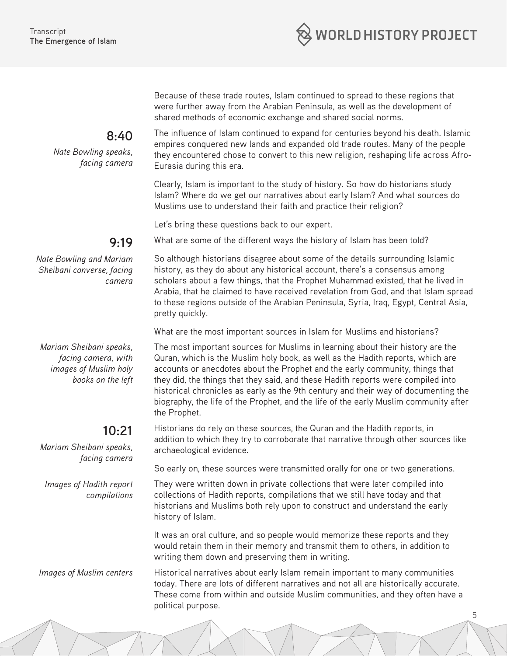

Because of these trade routes, Islam continued to spread to these regions that were further away from the Arabian Peninsula, as well as the development of shared methods of economic exchange and shared social norms.

The influence of Islam continued to expand for centuries beyond his death. Islamic empires conquered new lands and expanded old trade routes. Many of the people they encountered chose to convert to this new religion, reshaping life across Afro-Eurasia during this era.

Clearly, Islam is important to the study of history. So how do historians study Islam? Where do we get our narratives about early Islam? And what sources do Muslims use to understand their faith and practice their religion?

Let's bring these questions back to our expert.

What are some of the different ways the history of Islam has been told?

*Nate Bowling and Mariam Sheibani converse, facing camera*

*Mariam Sheibani speaks, facing camera, with images of Muslim holy books on the left*

#### **10:21**

*Mariam Sheibani speaks, facing camera*

*Images of Hadith report compilations*

So although historians disagree about some of the details surrounding Islamic history, as they do about any historical account, there's a consensus among scholars about a few things, that the Prophet Muhammad existed, that he lived in Arabia, that he claimed to have received revelation from God, and that Islam spread to these regions outside of the Arabian Peninsula, Syria, Iraq, Egypt, Central Asia, pretty quickly.

What are the most important sources in Islam for Muslims and historians?

The most important sources for Muslims in learning about their history are the Quran, which is the Muslim holy book, as well as the Hadith reports, which are accounts or anecdotes about the Prophet and the early community, things that they did, the things that they said, and these Hadith reports were compiled into historical chronicles as early as the 9th century and their way of documenting the biography, the life of the Prophet, and the life of the early Muslim community after the Prophet.

Historians do rely on these sources, the Quran and the Hadith reports, in addition to which they try to corroborate that narrative through other sources like archaeological evidence.

So early on, these sources were transmitted orally for one or two generations.

They were written down in private collections that were later compiled into collections of Hadith reports, compilations that we still have today and that historians and Muslims both rely upon to construct and understand the early history of Islam.

It was an oral culture, and so people would memorize these reports and they would retain them in their memory and transmit them to others, in addition to writing them down and preserving them in writing.

5

*Images of Muslim centers* Historical narratives about early Islam remain important to many communities today. There are lots of different narratives and not all are historically accurate. These come from within and outside Muslim communities, and they often have a political purpose.

# **9:19**

**8:40**

*Nate Bowling speaks,* 

*facing camera*